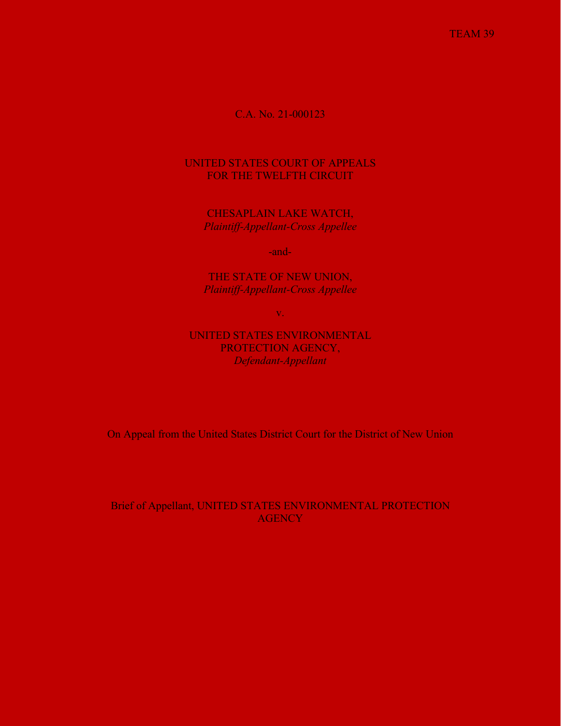TEAM 39

# C.A. No. 21-000123

# UNITED STATES COURT OF APPEALS FOR THE TWELFTH CIRCUIT

CHESAPLAIN LAKE WATCH, *Plaintiff-Appellant-Cross Appellee*

-and-

THE STATE OF NEW UNION, *Plaintiff-Appellant-Cross Appellee*

v.

UNITED STATES ENVIRONMENTAL PROTECTION AGENCY, *Defendant-Appellant*

On Appeal from the United States District Court for the District of New Union

Brief of Appellant, UNITED STATES ENVIRONMENTAL PROTECTION **AGENCY**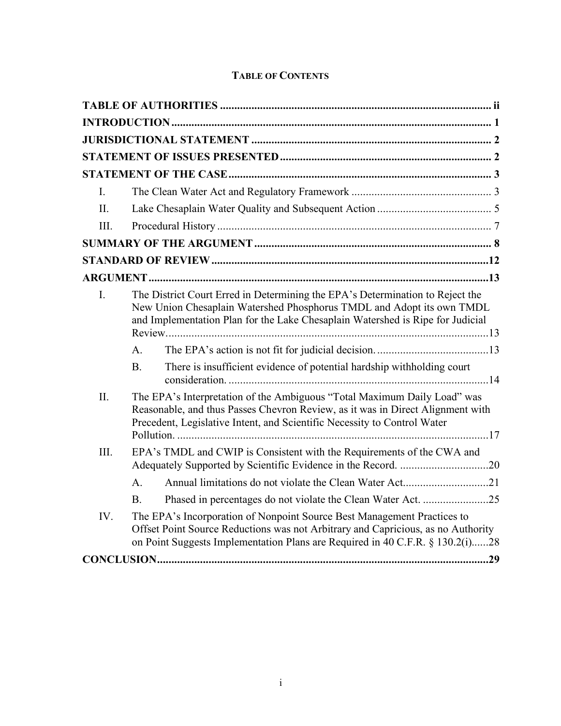|  | <b>TABLE OF CONTENTS</b> |
|--|--------------------------|
|--|--------------------------|

| $\mathbf{I}$ . |                                                                                                                                                                                                                                              |  |
|----------------|----------------------------------------------------------------------------------------------------------------------------------------------------------------------------------------------------------------------------------------------|--|
| II.            |                                                                                                                                                                                                                                              |  |
| III.           |                                                                                                                                                                                                                                              |  |
|                |                                                                                                                                                                                                                                              |  |
|                |                                                                                                                                                                                                                                              |  |
|                |                                                                                                                                                                                                                                              |  |
| I.             | The District Court Erred in Determining the EPA's Determination to Reject the<br>New Union Chesaplain Watershed Phosphorus TMDL and Adopt its own TMDL<br>and Implementation Plan for the Lake Chesaplain Watershed is Ripe for Judicial     |  |
|                | A.                                                                                                                                                                                                                                           |  |
|                | There is insufficient evidence of potential hardship withholding court<br><b>B.</b>                                                                                                                                                          |  |
| II.            | The EPA's Interpretation of the Ambiguous "Total Maximum Daily Load" was<br>Reasonable, and thus Passes Chevron Review, as it was in Direct Alignment with<br>Precedent, Legislative Intent, and Scientific Necessity to Control Water       |  |
| III.           | EPA's TMDL and CWIP is Consistent with the Requirements of the CWA and                                                                                                                                                                       |  |
|                | $\mathsf{A}$ .                                                                                                                                                                                                                               |  |
|                | Phased in percentages do not violate the Clean Water Act. 25<br>B.                                                                                                                                                                           |  |
| IV.            | The EPA's Incorporation of Nonpoint Source Best Management Practices to<br>Offset Point Source Reductions was not Arbitrary and Capricious, as no Authority<br>on Point Suggests Implementation Plans are Required in 40 C.F.R. § 130.2(i)28 |  |
|                |                                                                                                                                                                                                                                              |  |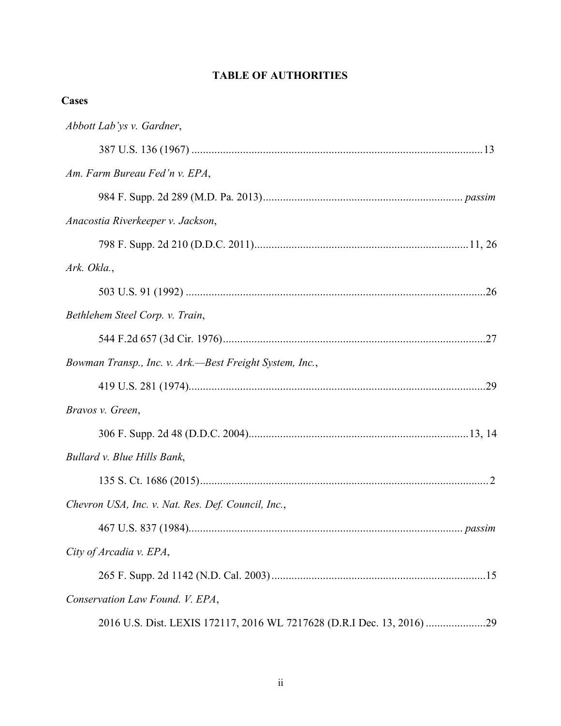# **TABLE OF AUTHORITIES**

<span id="page-2-0"></span>

| <b>Cases</b>                                                           |
|------------------------------------------------------------------------|
| Abbott Lab'ys v. Gardner,                                              |
|                                                                        |
| Am. Farm Bureau Fed'n v. EPA,                                          |
|                                                                        |
| Anacostia Riverkeeper v. Jackson,                                      |
|                                                                        |
| Ark. Okla.,                                                            |
|                                                                        |
| Bethlehem Steel Corp. v. Train,                                        |
|                                                                        |
| Bowman Transp., Inc. v. Ark.—Best Freight System, Inc.,                |
|                                                                        |
| Bravos v. Green,                                                       |
|                                                                        |
| Bullard v. Blue Hills Bank,                                            |
|                                                                        |
| Chevron USA, Inc. v. Nat. Res. Def. Council, Inc.,                     |
|                                                                        |
| City of Arcadia v. EPA,                                                |
|                                                                        |
| Conservation Law Found. V. EPA,                                        |
| 2016 U.S. Dist. LEXIS 172117, 2016 WL 7217628 (D.R.I Dec. 13, 2016) 29 |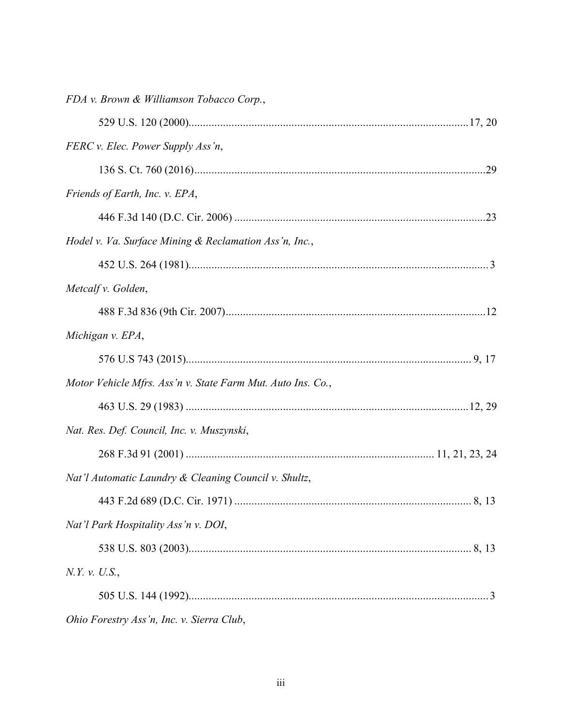| FDA v. Brown & Williamson Tobacco Corp.,                    |  |
|-------------------------------------------------------------|--|
|                                                             |  |
| FERC v. Elec. Power Supply Ass'n,                           |  |
|                                                             |  |
| Friends of Earth, Inc. v. EPA,                              |  |
|                                                             |  |
| Hodel v. Va. Surface Mining & Reclamation Ass'n, Inc.,      |  |
|                                                             |  |
| Metcalf v. Golden,                                          |  |
|                                                             |  |
| Michigan v. EPA,                                            |  |
|                                                             |  |
| Motor Vehicle Mfrs. Ass'n v. State Farm Mut. Auto Ins. Co., |  |
|                                                             |  |
| Nat. Res. Def. Council, Inc. v. Muszynski,                  |  |
|                                                             |  |
| Nat'l Automatic Laundry & Cleaning Council v. Shultz,       |  |
|                                                             |  |
| Nat'l Park Hospitality Ass'n v. DOI,                        |  |
|                                                             |  |
| N.Y. v. U.S.,                                               |  |
|                                                             |  |
| Ohio Forestry Ass'n, Inc. v. Sierra Club,                   |  |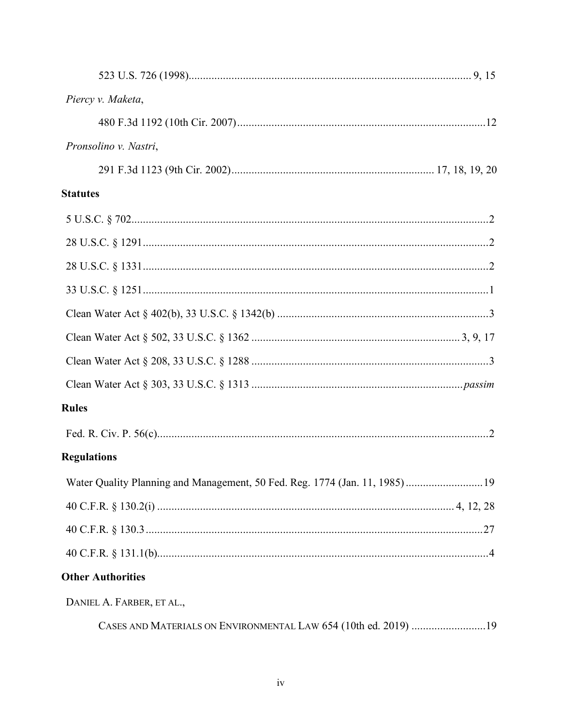| Piercy v. Maketa,                                                           |  |
|-----------------------------------------------------------------------------|--|
|                                                                             |  |
| Pronsolino v. Nastri,                                                       |  |
|                                                                             |  |
| <b>Statutes</b>                                                             |  |
|                                                                             |  |
|                                                                             |  |
|                                                                             |  |
|                                                                             |  |
|                                                                             |  |
|                                                                             |  |
|                                                                             |  |
|                                                                             |  |
| <b>Rules</b>                                                                |  |
|                                                                             |  |
| <b>Regulations</b>                                                          |  |
| Water Quality Planning and Management, 50 Fed. Reg. 1774 (Jan. 11, 1985) 19 |  |
|                                                                             |  |
|                                                                             |  |
|                                                                             |  |
| <b>Other Authorities</b>                                                    |  |
| DANIEL A. FARBER, ET AL.,                                                   |  |

CASES AND MATERIALS ON ENVIRONMENTAL LAW 654 (10th ed. 2019) ..........................19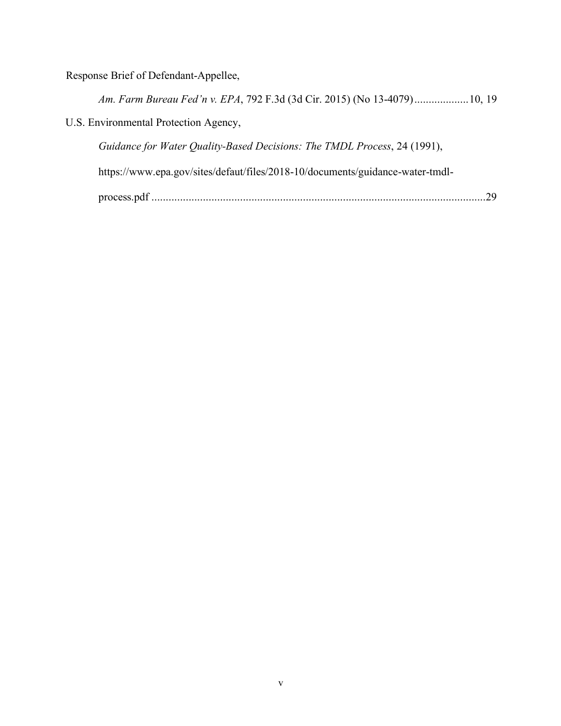Response Brief of Defendant-Appellee,

*Am. Farm Bureau Fed'n v. EPA*, 792 F.3d (3d Cir. 2015) (No 13-4079)...................10, 19

U.S. Environmental Protection Agency,

*Guidance for Water Quality-Based Decisions: The TMDL Process*, 24 (1991),

https://www.epa.gov/sites/defaut/files/2018-10/documents/guidance-water-tmdl-

process.pdf .....................................................................................................................29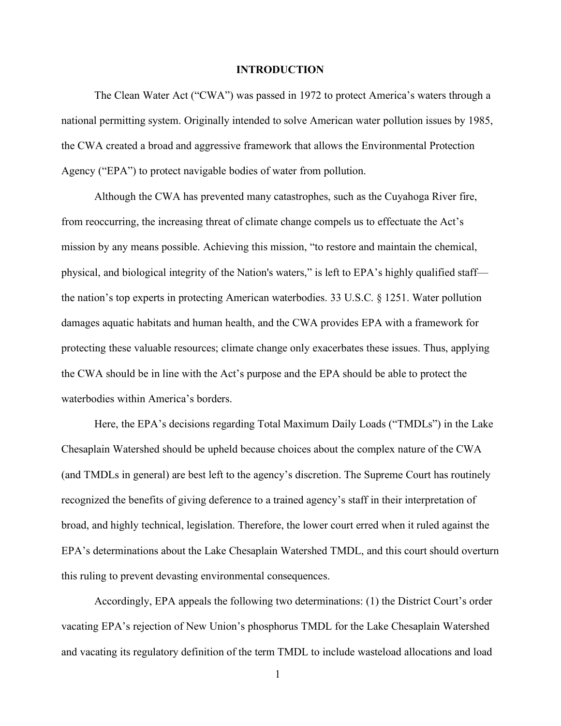### **INTRODUCTION**

<span id="page-6-0"></span>The Clean Water Act ("CWA") was passed in 1972 to protect America's waters through a national permitting system. Originally intended to solve American water pollution issues by 1985, the CWA created a broad and aggressive framework that allows the Environmental Protection Agency ("EPA") to protect navigable bodies of water from pollution.

Although the CWA has prevented many catastrophes, such as the Cuyahoga River fire, from reoccurring, the increasing threat of climate change compels us to effectuate the Act's mission by any means possible. Achieving this mission, "to restore and maintain the chemical, physical, and biological integrity of the Nation's waters," is left to EPA's highly qualified staff the nation's top experts in protecting American waterbodies. 33 U.S.C. § 1251. Water pollution damages aquatic habitats and human health, and the CWA provides EPA with a framework for protecting these valuable resources; climate change only exacerbates these issues. Thus, applying the CWA should be in line with the Act's purpose and the EPA should be able to protect the waterbodies within America's borders.

Here, the EPA's decisions regarding Total Maximum Daily Loads ("TMDLs") in the Lake Chesaplain Watershed should be upheld because choices about the complex nature of the CWA (and TMDLs in general) are best left to the agency's discretion. The Supreme Court has routinely recognized the benefits of giving deference to a trained agency's staff in their interpretation of broad, and highly technical, legislation. Therefore, the lower court erred when it ruled against the EPA's determinations about the Lake Chesaplain Watershed TMDL, and this court should overturn this ruling to prevent devasting environmental consequences.

Accordingly, EPA appeals the following two determinations: (1) the District Court's order vacating EPA's rejection of New Union's phosphorus TMDL for the Lake Chesaplain Watershed and vacating its regulatory definition of the term TMDL to include wasteload allocations and load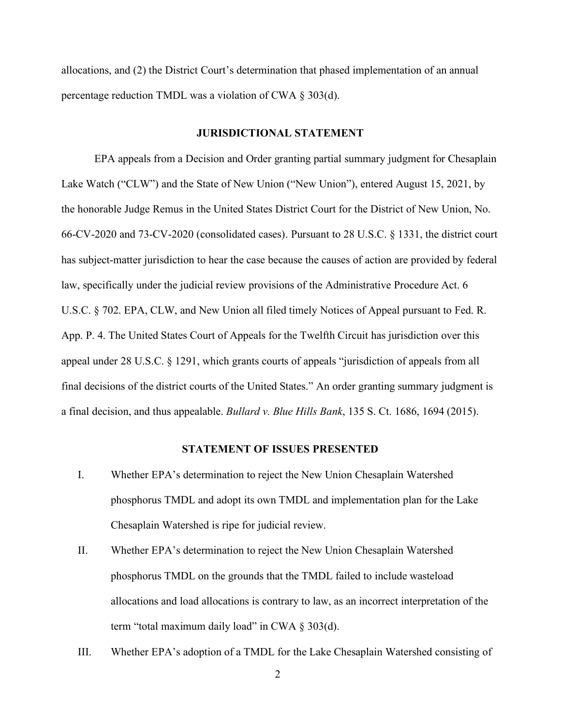allocations, and (2) the District Court's determination that phased implementation of an annual percentage reduction TMDL was a violation of CWA § 303(d).

### **JURISDICTIONAL STATEMENT**

<span id="page-7-0"></span>EPA appeals from a Decision and Order granting partial summary judgment for Chesaplain Lake Watch ("CLW") and the State of New Union ("New Union"), entered August 15, 2021, by the honorable Judge Remus in the United States District Court for the District of New Union, No. 66-CV-2020 and 73-CV-2020 (consolidated cases). Pursuant to 28 U.S.C. § 1331, the district court has subject-matter jurisdiction to hear the case because the causes of action are provided by federal law, specifically under the judicial review provisions of the Administrative Procedure Act. 6 U.S.C. § 702. EPA, CLW, and New Union all filed timely Notices of Appeal pursuant to Fed. R. App. P. 4. The United States Court of Appeals for the Twelfth Circuit has jurisdiction over this appeal under 28 U.S.C. § 1291, which grants courts of appeals "jurisdiction of appeals from all final decisions of the district courts of the United States." An order granting summary judgment is a final decision, and thus appealable. *Bullard v. Blue Hills Bank*, 135 S. Ct. 1686, 1694 (2015).

### **STATEMENT OF ISSUES PRESENTED**

- <span id="page-7-1"></span>I. Whether EPA's determination to reject the New Union Chesaplain Watershed phosphorus TMDL and adopt its own TMDL and implementation plan for the Lake Chesaplain Watershed is ripe for judicial review.
- II. Whether EPA's determination to reject the New Union Chesaplain Watershed phosphorus TMDL on the grounds that the TMDL failed to include wasteload allocations and load allocations is contrary to law, as an incorrect interpretation of the term "total maximum daily load" in CWA  $\S$  303(d).
- III. Whether EPA's adoption of a TMDL for the Lake Chesaplain Watershed consisting of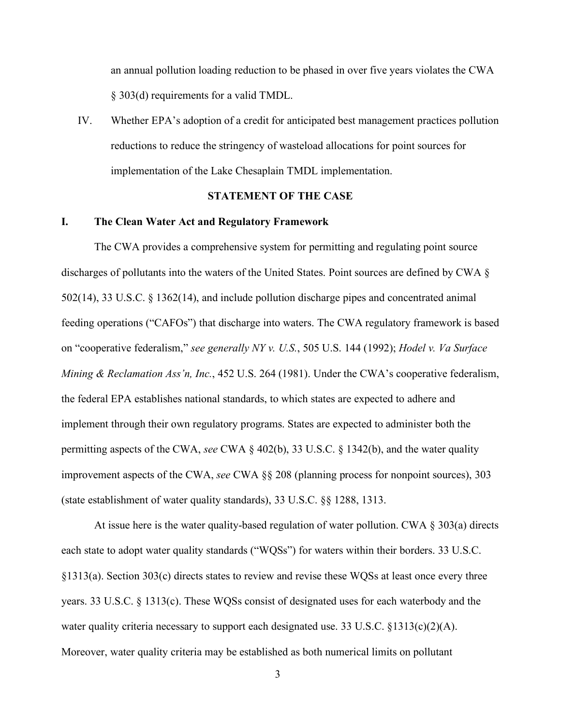an annual pollution loading reduction to be phased in over five years violates the CWA § 303(d) requirements for a valid TMDL.

IV. Whether EPA's adoption of a credit for anticipated best management practices pollution reductions to reduce the stringency of wasteload allocations for point sources for implementation of the Lake Chesaplain TMDL implementation.

# **STATEMENT OF THE CASE**

### <span id="page-8-1"></span><span id="page-8-0"></span>**I. The Clean Water Act and Regulatory Framework**

The CWA provides a comprehensive system for permitting and regulating point source discharges of pollutants into the waters of the United States. Point sources are defined by CWA § 502(14), 33 U.S.C. § 1362(14), and include pollution discharge pipes and concentrated animal feeding operations ("CAFOs") that discharge into waters. The CWA regulatory framework is based on "cooperative federalism," *see generally NY v. U.S.*, 505 U.S. 144 (1992); *Hodel v. Va Surface Mining & Reclamation Ass'n, Inc.*, 452 U.S. 264 (1981). Under the CWA's cooperative federalism, the federal EPA establishes national standards, to which states are expected to adhere and implement through their own regulatory programs. States are expected to administer both the permitting aspects of the CWA, *see* CWA § 402(b), 33 U.S.C. § 1342(b), and the water quality improvement aspects of the CWA, *see* CWA §§ 208 (planning process for nonpoint sources), 303 (state establishment of water quality standards), 33 U.S.C. §§ 1288, 1313.

At issue here is the water quality-based regulation of water pollution. CWA § 303(a) directs each state to adopt water quality standards ("WQSs") for waters within their borders. 33 U.S.C. §1313(a). Section 303(c) directs states to review and revise these WQSs at least once every three years. 33 U.S.C. § 1313(c). These WQSs consist of designated uses for each waterbody and the water quality criteria necessary to support each designated use. 33 U.S.C.  $\{1313(c)(2)(A)\}$ . Moreover, water quality criteria may be established as both numerical limits on pollutant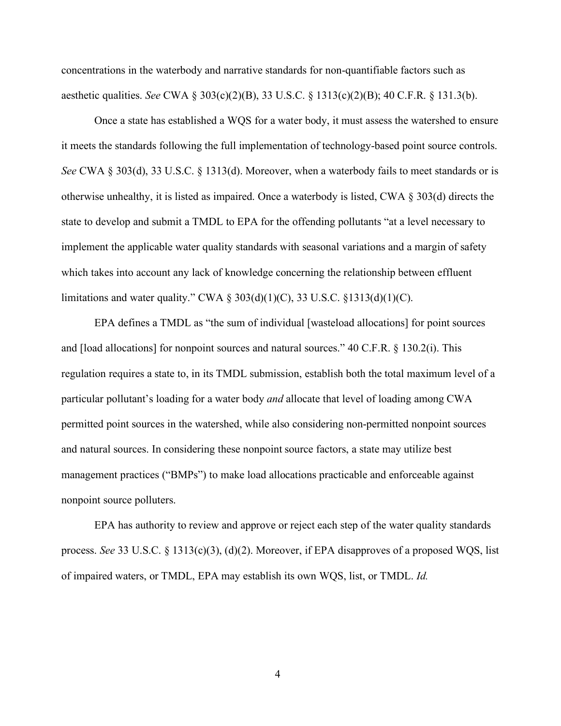concentrations in the waterbody and narrative standards for non-quantifiable factors such as aesthetic qualities. *See* CWA § 303(c)(2)(B), 33 U.S.C. § 1313(c)(2)(B); 40 C.F.R. § 131.3(b).

Once a state has established a WQS for a water body, it must assess the watershed to ensure it meets the standards following the full implementation of technology-based point source controls. *See* CWA § 303(d), 33 U.S.C. § 1313(d). Moreover, when a waterbody fails to meet standards or is otherwise unhealthy, it is listed as impaired. Once a waterbody is listed, CWA § 303(d) directs the state to develop and submit a TMDL to EPA for the offending pollutants "at a level necessary to implement the applicable water quality standards with seasonal variations and a margin of safety which takes into account any lack of knowledge concerning the relationship between effluent limitations and water quality." CWA  $\S 303(d)(1)(C)$ , 33 U.S.C.  $\S 1313(d)(1)(C)$ .

EPA defines a TMDL as "the sum of individual [wasteload allocations] for point sources and [load allocations] for nonpoint sources and natural sources." 40 C.F.R. § 130.2(i). This regulation requires a state to, in its TMDL submission, establish both the total maximum level of a particular pollutant's loading for a water body *and* allocate that level of loading among CWA permitted point sources in the watershed, while also considering non-permitted nonpoint sources and natural sources. In considering these nonpoint source factors, a state may utilize best management practices ("BMPs") to make load allocations practicable and enforceable against nonpoint source polluters.

<span id="page-9-0"></span>EPA has authority to review and approve or reject each step of the water quality standards process. *See* 33 U.S.C. § 1313(c)(3), (d)(2). Moreover, if EPA disapproves of a proposed WQS, list of impaired waters, or TMDL, EPA may establish its own WQS, list, or TMDL. *Id.*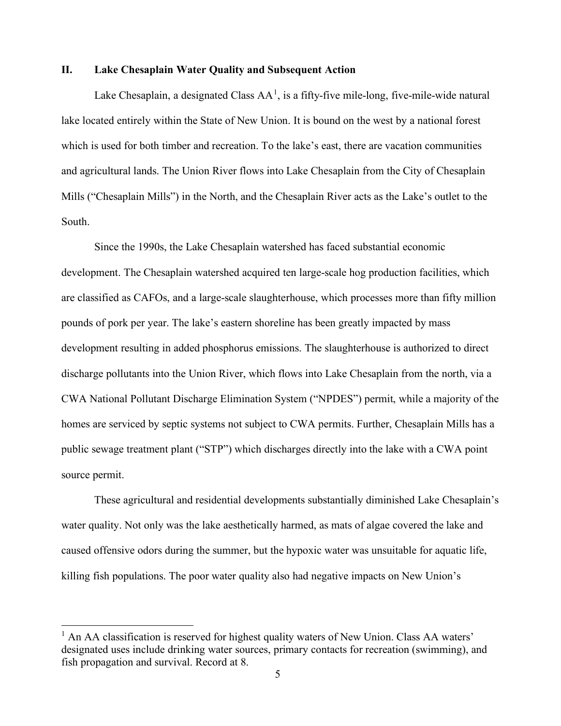### **II. Lake Chesaplain Water Quality and Subsequent Action**

Lake Chesaplain, a designated Class  $AA<sup>1</sup>$  $AA<sup>1</sup>$  $AA<sup>1</sup>$ , is a fifty-five mile-long, five-mile-wide natural lake located entirely within the State of New Union. It is bound on the west by a national forest which is used for both timber and recreation. To the lake's east, there are vacation communities and agricultural lands. The Union River flows into Lake Chesaplain from the City of Chesaplain Mills ("Chesaplain Mills") in the North, and the Chesaplain River acts as the Lake's outlet to the South.

Since the 1990s, the Lake Chesaplain watershed has faced substantial economic development. The Chesaplain watershed acquired ten large-scale hog production facilities, which are classified as CAFOs, and a large-scale slaughterhouse, which processes more than fifty million pounds of pork per year. The lake's eastern shoreline has been greatly impacted by mass development resulting in added phosphorus emissions. The slaughterhouse is authorized to direct discharge pollutants into the Union River, which flows into Lake Chesaplain from the north, via a CWA National Pollutant Discharge Elimination System ("NPDES") permit, while a majority of the homes are serviced by septic systems not subject to CWA permits. Further, Chesaplain Mills has a public sewage treatment plant ("STP") which discharges directly into the lake with a CWA point source permit.

These agricultural and residential developments substantially diminished Lake Chesaplain's water quality. Not only was the lake aesthetically harmed, as mats of algae covered the lake and caused offensive odors during the summer, but the hypoxic water was unsuitable for aquatic life, killing fish populations. The poor water quality also had negative impacts on New Union's

<span id="page-10-0"></span> $<sup>1</sup>$  An AA classification is reserved for highest quality waters of New Union. Class AA waters'</sup> designated uses include drinking water sources, primary contacts for recreation (swimming), and fish propagation and survival. Record at 8.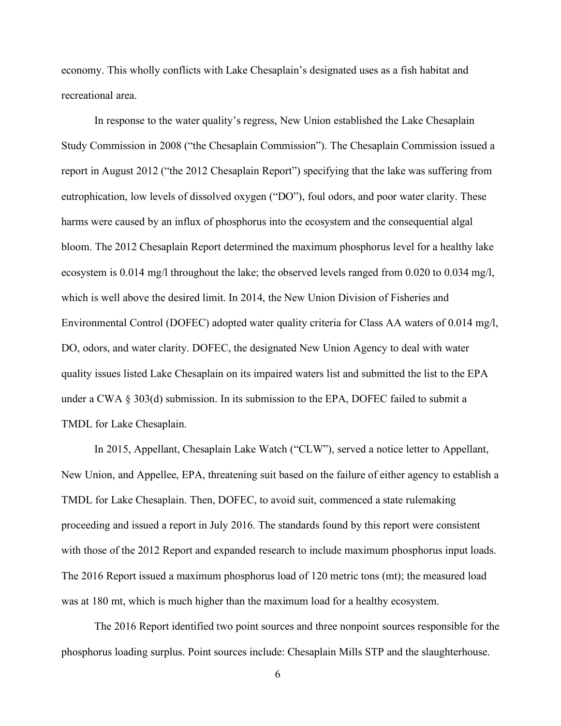economy. This wholly conflicts with Lake Chesaplain's designated uses as a fish habitat and recreational area.

In response to the water quality's regress, New Union established the Lake Chesaplain Study Commission in 2008 ("the Chesaplain Commission"). The Chesaplain Commission issued a report in August 2012 ("the 2012 Chesaplain Report") specifying that the lake was suffering from eutrophication, low levels of dissolved oxygen ("DO"), foul odors, and poor water clarity. These harms were caused by an influx of phosphorus into the ecosystem and the consequential algal bloom. The 2012 Chesaplain Report determined the maximum phosphorus level for a healthy lake ecosystem is 0.014 mg/l throughout the lake; the observed levels ranged from 0.020 to 0.034 mg/l, which is well above the desired limit. In 2014, the New Union Division of Fisheries and Environmental Control (DOFEC) adopted water quality criteria for Class AA waters of 0.014 mg/l, DO, odors, and water clarity. DOFEC, the designated New Union Agency to deal with water quality issues listed Lake Chesaplain on its impaired waters list and submitted the list to the EPA under a CWA § 303(d) submission. In its submission to the EPA, DOFEC failed to submit a TMDL for Lake Chesaplain.

In 2015, Appellant, Chesaplain Lake Watch ("CLW"), served a notice letter to Appellant, New Union, and Appellee, EPA, threatening suit based on the failure of either agency to establish a TMDL for Lake Chesaplain. Then, DOFEC, to avoid suit, commenced a state rulemaking proceeding and issued a report in July 2016. The standards found by this report were consistent with those of the 2012 Report and expanded research to include maximum phosphorus input loads. The 2016 Report issued a maximum phosphorus load of 120 metric tons (mt); the measured load was at 180 mt, which is much higher than the maximum load for a healthy ecosystem.

The 2016 Report identified two point sources and three nonpoint sources responsible for the phosphorus loading surplus. Point sources include: Chesaplain Mills STP and the slaughterhouse.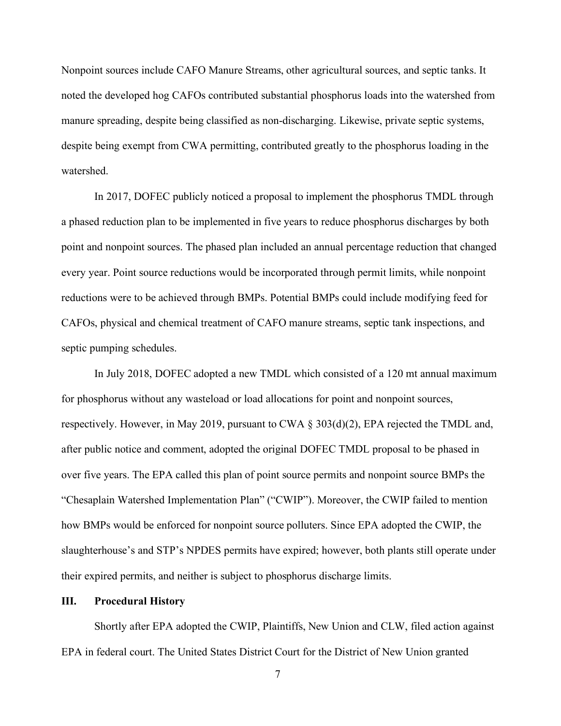Nonpoint sources include CAFO Manure Streams, other agricultural sources, and septic tanks. It noted the developed hog CAFOs contributed substantial phosphorus loads into the watershed from manure spreading, despite being classified as non-discharging. Likewise, private septic systems, despite being exempt from CWA permitting, contributed greatly to the phosphorus loading in the watershed.

In 2017, DOFEC publicly noticed a proposal to implement the phosphorus TMDL through a phased reduction plan to be implemented in five years to reduce phosphorus discharges by both point and nonpoint sources. The phased plan included an annual percentage reduction that changed every year. Point source reductions would be incorporated through permit limits, while nonpoint reductions were to be achieved through BMPs. Potential BMPs could include modifying feed for CAFOs, physical and chemical treatment of CAFO manure streams, septic tank inspections, and septic pumping schedules.

In July 2018, DOFEC adopted a new TMDL which consisted of a 120 mt annual maximum for phosphorus without any wasteload or load allocations for point and nonpoint sources, respectively. However, in May 2019, pursuant to CWA § 303(d)(2), EPA rejected the TMDL and, after public notice and comment, adopted the original DOFEC TMDL proposal to be phased in over five years. The EPA called this plan of point source permits and nonpoint source BMPs the "Chesaplain Watershed Implementation Plan" ("CWIP"). Moreover, the CWIP failed to mention how BMPs would be enforced for nonpoint source polluters. Since EPA adopted the CWIP, the slaughterhouse's and STP's NPDES permits have expired; however, both plants still operate under their expired permits, and neither is subject to phosphorus discharge limits.

### <span id="page-12-0"></span>**III. Procedural History**

Shortly after EPA adopted the CWIP, Plaintiffs, New Union and CLW, filed action against EPA in federal court. The United States District Court for the District of New Union granted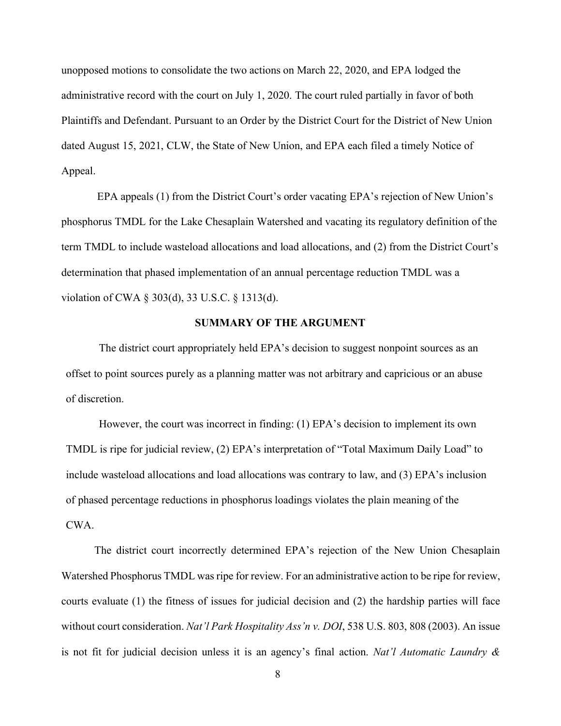unopposed motions to consolidate the two actions on March 22, 2020, and EPA lodged the administrative record with the court on July 1, 2020. The court ruled partially in favor of both Plaintiffs and Defendant. Pursuant to an Order by the District Court for the District of New Union dated August 15, 2021, CLW, the State of New Union, and EPA each filed a timely Notice of Appeal.

EPA appeals (1) from the District Court's order vacating EPA's rejection of New Union's phosphorus TMDL for the Lake Chesaplain Watershed and vacating its regulatory definition of the term TMDL to include wasteload allocations and load allocations, and (2) from the District Court's determination that phased implementation of an annual percentage reduction TMDL was a violation of CWA § 303(d), 33 U.S.C. § 1313(d).

### **SUMMARY OF THE ARGUMENT**

<span id="page-13-0"></span>The district court appropriately held EPA's decision to suggest nonpoint sources as an offset to point sources purely as a planning matter was not arbitrary and capricious or an abuse of discretion.

However, the court was incorrect in finding: (1) EPA's decision to implement its own TMDL is ripe for judicial review, (2) EPA's interpretation of "Total Maximum Daily Load" to include wasteload allocations and load allocations was contrary to law, and (3) EPA's inclusion of phased percentage reductions in phosphorus loadings violates the plain meaning of the CWA.

The district court incorrectly determined EPA's rejection of the New Union Chesaplain Watershed Phosphorus TMDL was ripe for review. For an administrative action to be ripe for review, courts evaluate (1) the fitness of issues for judicial decision and (2) the hardship parties will face without court consideration. *Nat'l Park Hospitality Ass'n v. DOI*, 538 U.S. 803, 808 (2003). An issue is not fit for judicial decision unless it is an agency's final action. *Nat'l Automatic Laundry &*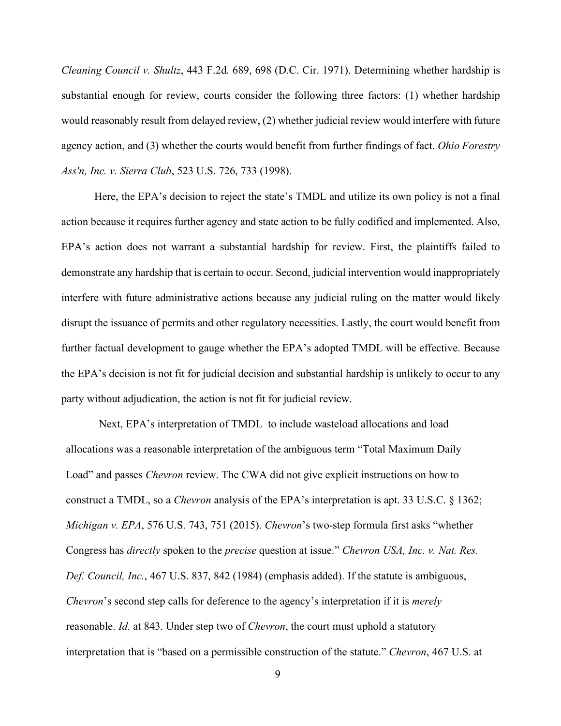*Cleaning Council v. Shultz*, 443 F.2d. 689, 698 (D.C. Cir. 1971). Determining whether hardship is substantial enough for review, courts consider the following three factors: (1) whether hardship would reasonably result from delayed review, (2) whether judicial review would interfere with future agency action, and (3) whether the courts would benefit from further findings of fact. *Ohio Forestry Ass'n, Inc. v. Sierra Club*, 523 U.S. 726, 733 (1998).

Here, the EPA's decision to reject the state's TMDL and utilize its own policy is not a final action because it requires further agency and state action to be fully codified and implemented. Also, EPA's action does not warrant a substantial hardship for review. First, the plaintiffs failed to demonstrate any hardship that is certain to occur. Second, judicial intervention would inappropriately interfere with future administrative actions because any judicial ruling on the matter would likely disrupt the issuance of permits and other regulatory necessities. Lastly, the court would benefit from further factual development to gauge whether the EPA's adopted TMDL will be effective. Because the EPA's decision is not fit for judicial decision and substantial hardship is unlikely to occur to any party without adjudication, the action is not fit for judicial review.

Next, EPA's interpretation of TMDL to include wasteload allocations and load allocations was a reasonable interpretation of the ambiguous term "Total Maximum Daily Load" and passes *Chevron* review. The CWA did not give explicit instructions on how to construct a TMDL, so a *Chevron* analysis of the EPA's interpretation is apt. 33 U.S.C. § 1362; *Michigan v. EPA*, 576 U.S. 743, 751 (2015). *Chevron*'s two-step formula first asks "whether Congress has *directly* spoken to the *precise* question at issue." *Chevron USA, Inc. v. Nat. Res. Def. Council, Inc.*, 467 U.S. 837, 842 (1984) (emphasis added). If the statute is ambiguous, *Chevron*'s second step calls for deference to the agency's interpretation if it is *merely* reasonable. *Id.* at 843. Under step two of *Chevron*, the court must uphold a statutory interpretation that is "based on a permissible construction of the statute." *Chevron*, 467 U.S. at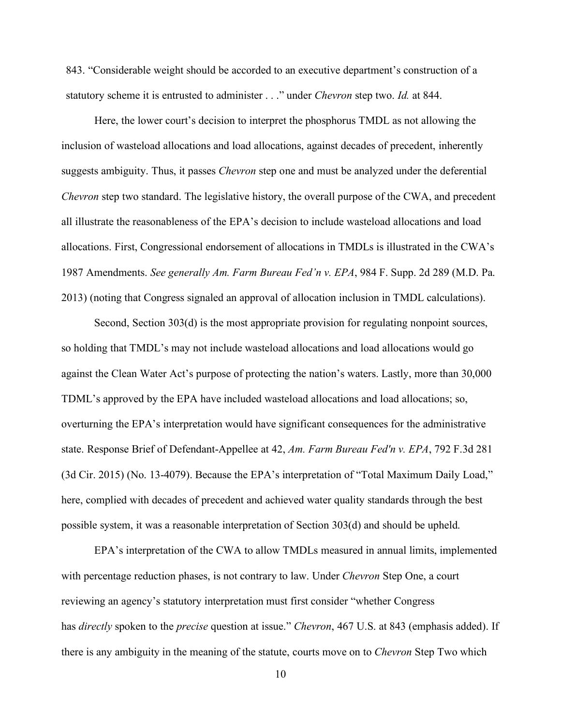843. "Considerable weight should be accorded to an executive department's construction of a statutory scheme it is entrusted to administer . . ." under *Chevron* step two. *Id.* at 844.

Here, the lower court's decision to interpret the phosphorus TMDL as not allowing the inclusion of wasteload allocations and load allocations, against decades of precedent, inherently suggests ambiguity. Thus, it passes *Chevron* step one and must be analyzed under the deferential *Chevron* step two standard. The legislative history, the overall purpose of the CWA, and precedent all illustrate the reasonableness of the EPA's decision to include wasteload allocations and load allocations. First, Congressional endorsement of allocations in TMDLs is illustrated in the CWA's 1987 Amendments. *See generally Am. Farm Bureau Fed'n v. EPA*, 984 F. Supp. 2d 289 (M.D. Pa. 2013) (noting that Congress signaled an approval of allocation inclusion in TMDL calculations).

Second, Section 303(d) is the most appropriate provision for regulating nonpoint sources, so holding that TMDL's may not include wasteload allocations and load allocations would go against the Clean Water Act's purpose of protecting the nation's waters. Lastly, more than 30,000 TDML's approved by the EPA have included wasteload allocations and load allocations; so, overturning the EPA's interpretation would have significant consequences for the administrative state. Response Brief of Defendant-Appellee at 42, *Am. Farm Bureau Fed'n v. EPA*, 792 F.3d 281 (3d Cir. 2015) (No. 13-4079). Because the EPA's interpretation of "Total Maximum Daily Load," here, complied with decades of precedent and achieved water quality standards through the best possible system, it was a reasonable interpretation of Section 303(d) and should be upheld.

EPA's interpretation of the CWA to allow TMDLs measured in annual limits, implemented with percentage reduction phases, is not contrary to law. Under *Chevron* Step One, a court reviewing an agency's statutory interpretation must first consider "whether Congress has *directly* spoken to the *precise* question at issue." *Chevron*, 467 U.S. at 843 (emphasis added). If there is any ambiguity in the meaning of the statute, courts move on to *Chevron* Step Two which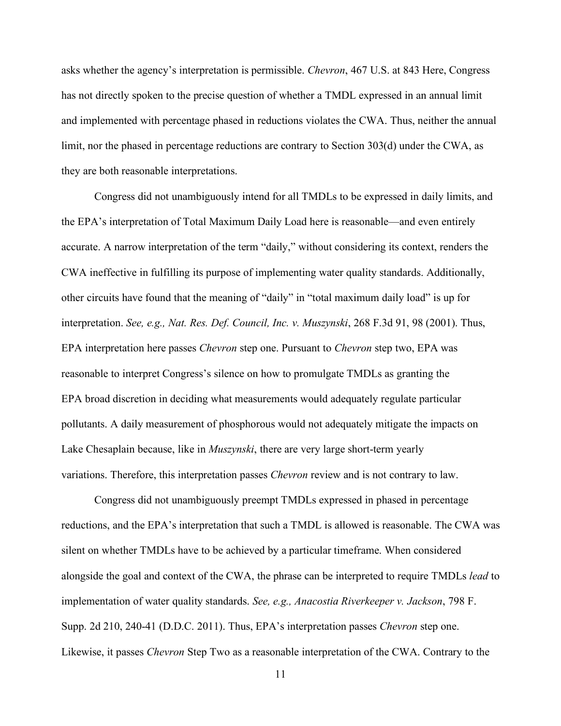asks whether the agency's interpretation is permissible. *Chevron*, 467 U.S. at 843 Here, Congress has not directly spoken to the precise question of whether a TMDL expressed in an annual limit and implemented with percentage phased in reductions violates the CWA. Thus, neither the annual limit, nor the phased in percentage reductions are contrary to Section 303(d) under the CWA, as they are both reasonable interpretations.

Congress did not unambiguously intend for all TMDLs to be expressed in daily limits, and the EPA's interpretation of Total Maximum Daily Load here is reasonable—and even entirely accurate. A narrow interpretation of the term "daily," without considering its context, renders the CWA ineffective in fulfilling its purpose of implementing water quality standards. Additionally, other circuits have found that the meaning of "daily" in "total maximum daily load" is up for interpretation. *See, e.g., Nat. Res. Def. Council, Inc. v. Muszynski*, 268 F.3d 91, 98 (2001). Thus, EPA interpretation here passes *Chevron* step one. Pursuant to *Chevron* step two, EPA was reasonable to interpret Congress's silence on how to promulgate TMDLs as granting the EPA broad discretion in deciding what measurements would adequately regulate particular pollutants. A daily measurement of phosphorous would not adequately mitigate the impacts on Lake Chesaplain because, like in *Muszynski*, there are very large short-term yearly variations. Therefore, this interpretation passes *Chevron* review and is not contrary to law.

Congress did not unambiguously preempt TMDLs expressed in phased in percentage reductions, and the EPA's interpretation that such a TMDL is allowed is reasonable. The CWA was silent on whether TMDLs have to be achieved by a particular timeframe. When considered alongside the goal and context of the CWA, the phrase can be interpreted to require TMDLs *lead* to implementation of water quality standards. *See, e.g., Anacostia Riverkeeper v. Jackson*, 798 F. Supp. 2d 210, 240-41 (D.D.C. 2011). Thus, EPA's interpretation passes *Chevron* step one. Likewise, it passes *Chevron* Step Two as a reasonable interpretation of the CWA. Contrary to the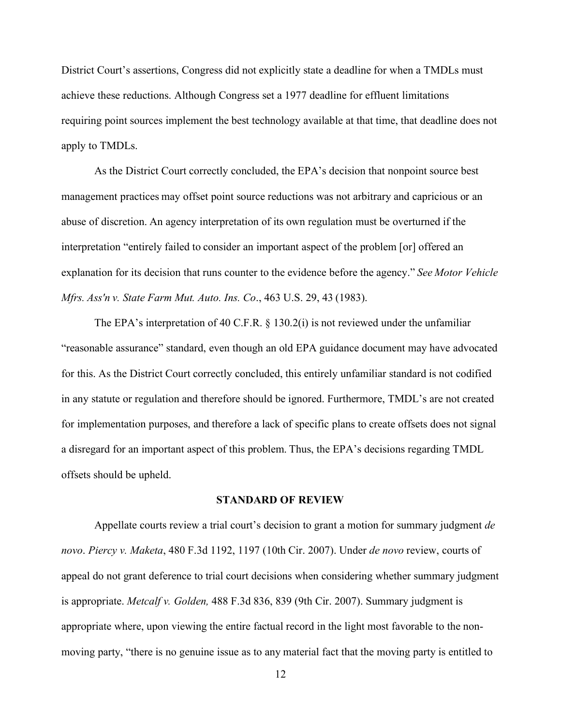District Court's assertions, Congress did not explicitly state a deadline for when a TMDLs must achieve these reductions. Although Congress set a 1977 deadline for effluent limitations requiring point sources implement the best technology available at that time, that deadline does not apply to TMDLs.

As the District Court correctly concluded, the EPA's decision that nonpoint source best management practices may offset point source reductions was not arbitrary and capricious or an abuse of discretion. An agency interpretation of its own regulation must be overturned if the interpretation "entirely failed to consider an important aspect of the problem [or] offered an explanation for its decision that runs counter to the evidence before the agency."*See Motor Vehicle Mfrs. Ass'n v. State Farm Mut. Auto. Ins. Co*., 463 U.S. 29, 43 (1983). 

The EPA's interpretation of 40 C.F.R. § 130.2(i) is not reviewed under the unfamiliar "reasonable assurance" standard, even though an old EPA guidance document may have advocated for this. As the District Court correctly concluded, this entirely unfamiliar standard is not codified in any statute or regulation and therefore should be ignored. Furthermore, TMDL's are not created for implementation purposes, and therefore a lack of specific plans to create offsets does not signal a disregard for an important aspect of this problem. Thus, the EPA's decisions regarding TMDL offsets should be upheld.

### **STANDARD OF REVIEW**

<span id="page-17-0"></span>Appellate courts review a trial court's decision to grant a motion for summary judgment *de novo*. *Piercy v. Maketa*, 480 F.3d 1192, 1197 (10th Cir. 2007). Under *de novo* review, courts of appeal do not grant deference to trial court decisions when considering whether summary judgment is appropriate. *Metcalf v. Golden,* 488 F.3d 836, 839 (9th Cir. 2007). Summary judgment is appropriate where, upon viewing the entire factual record in the light most favorable to the nonmoving party, "there is no genuine issue as to any material fact that the moving party is entitled to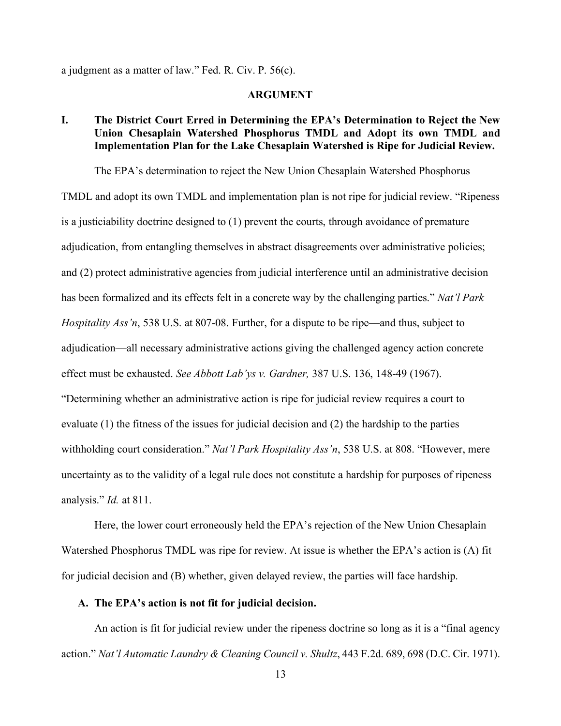<span id="page-18-0"></span>a judgment as a matter of law." Fed. R. Civ. P. 56(c).

#### **ARGUMENT**

# <span id="page-18-1"></span>**I. The District Court Erred in Determining the EPA's Determination to Reject the New Union Chesaplain Watershed Phosphorus TMDL and Adopt its own TMDL and Implementation Plan for the Lake Chesaplain Watershed is Ripe for Judicial Review.**

The EPA's determination to reject the New Union Chesaplain Watershed Phosphorus TMDL and adopt its own TMDL and implementation plan is not ripe for judicial review. "Ripeness is a justiciability doctrine designed to (1) prevent the courts, through avoidance of premature adjudication, from entangling themselves in abstract disagreements over administrative policies; and (2) protect administrative agencies from judicial interference until an administrative decision has been formalized and its effects felt in a concrete way by the challenging parties." *Nat'l Park Hospitality Ass'n*, 538 U.S. at 807-08. Further, for a dispute to be ripe—and thus, subject to adjudication––all necessary administrative actions giving the challenged agency action concrete effect must be exhausted. *See Abbott Lab'ys v. Gardner,* 387 U.S. 136, 148-49 (1967). "Determining whether an administrative action is ripe for judicial review requires a court to evaluate (1) the fitness of the issues for judicial decision and (2) the hardship to the parties withholding court consideration." *Nat'l Park Hospitality Ass'n*, 538 U.S. at 808. "However, mere uncertainty as to the validity of a legal rule does not constitute a hardship for purposes of ripeness analysis." *Id.* at 811.

Here, the lower court erroneously held the EPA's rejection of the New Union Chesaplain Watershed Phosphorus TMDL was ripe for review. At issue is whether the EPA's action is (A) fit for judicial decision and (B) whether, given delayed review, the parties will face hardship.

### <span id="page-18-2"></span>**A. The EPA's action is not fit for judicial decision.**

An action is fit for judicial review under the ripeness doctrine so long as it is a "final agency action." *Nat'l Automatic Laundry & Cleaning Council v. Shultz*, 443 F.2d. 689, 698 (D.C. Cir. 1971).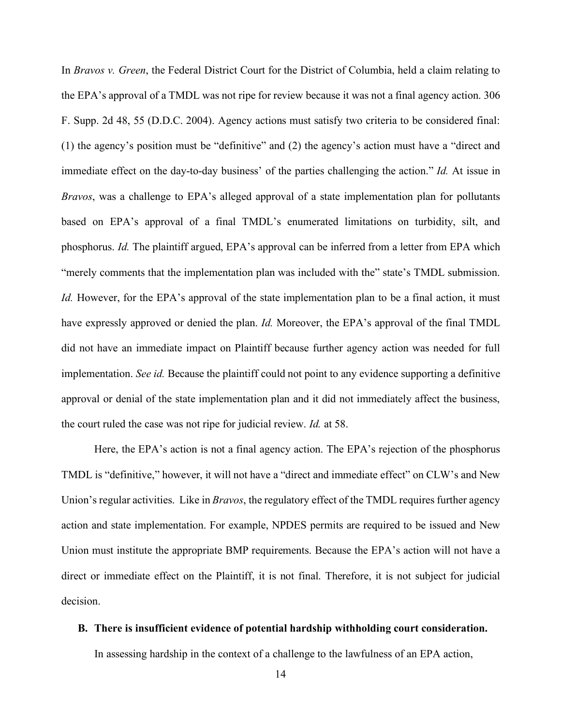In *Bravos v. Green*, the Federal District Court for the District of Columbia, held a claim relating to the EPA's approval of a TMDL was not ripe for review because it was not a final agency action. 306 F. Supp. 2d 48, 55 (D.D.C. 2004). Agency actions must satisfy two criteria to be considered final: (1) the agency's position must be "definitive" and (2) the agency's action must have a "direct and immediate effect on the day-to-day business' of the parties challenging the action." *Id.* At issue in *Bravos*, was a challenge to EPA's alleged approval of a state implementation plan for pollutants based on EPA's approval of a final TMDL's enumerated limitations on turbidity, silt, and phosphorus. *Id.* The plaintiff argued, EPA's approval can be inferred from a letter from EPA which "merely comments that the implementation plan was included with the" state's TMDL submission. *Id.* However, for the EPA's approval of the state implementation plan to be a final action, it must have expressly approved or denied the plan. *Id.* Moreover, the EPA's approval of the final TMDL did not have an immediate impact on Plaintiff because further agency action was needed for full implementation. *See id.* Because the plaintiff could not point to any evidence supporting a definitive approval or denial of the state implementation plan and it did not immediately affect the business, the court ruled the case was not ripe for judicial review. *Id.* at 58.

Here, the EPA's action is not a final agency action. The EPA's rejection of the phosphorus TMDL is "definitive," however, it will not have a "direct and immediate effect" on CLW's and New Union's regular activities. Like in *Bravos*, the regulatory effect of the TMDL requires further agency action and state implementation. For example, NPDES permits are required to be issued and New Union must institute the appropriate BMP requirements. Because the EPA's action will not have a direct or immediate effect on the Plaintiff, it is not final. Therefore, it is not subject for judicial decision.

### <span id="page-19-0"></span>**B. There is insufficient evidence of potential hardship withholding court consideration.**

In assessing hardship in the context of a challenge to the lawfulness of an EPA action,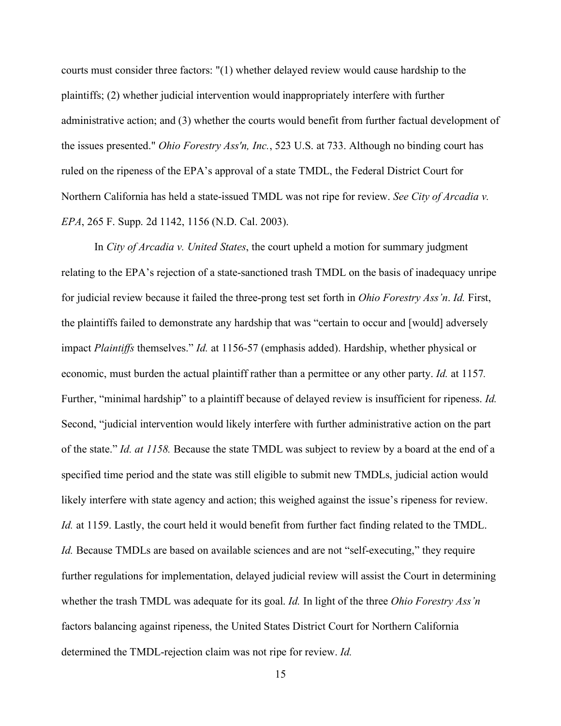courts must consider three factors: "(1) whether delayed review would cause hardship to the plaintiffs; (2) whether judicial intervention would inappropriately interfere with further administrative action; and (3) whether the courts would benefit from further factual development of the issues presented." *Ohio Forestry Ass'n, Inc.*, 523 U.S. at 733. Although no binding court has ruled on the ripeness of the EPA's approval of a state TMDL, the Federal District Court for Northern California has held a state-issued TMDL was not ripe for review. *See City of Arcadia v. EPA*, 265 F. Supp. 2d 1142, 1156 (N.D. Cal. 2003).

In *City of Arcadia v. United States*, the court upheld a motion for summary judgment relating to the EPA's rejection of a state-sanctioned trash TMDL on the basis of inadequacy unripe for judicial review because it failed the three-prong test set forth in *Ohio Forestry Ass'n*. *Id.* First, the plaintiffs failed to demonstrate any hardship that was "certain to occur and [would] adversely impact *Plaintiffs* themselves." *Id.* at 1156-57 (emphasis added). Hardship, whether physical or economic, must burden the actual plaintiff rather than a permittee or any other party. *Id.* at 1157*.* Further, "minimal hardship" to a plaintiff because of delayed review is insufficient for ripeness. *Id.*  Second, "judicial intervention would likely interfere with further administrative action on the part of the state." *Id. at 1158.* Because the state TMDL was subject to review by a board at the end of a specified time period and the state was still eligible to submit new TMDLs, judicial action would likely interfere with state agency and action; this weighed against the issue's ripeness for review. *Id.* at 1159. Lastly, the court held it would benefit from further fact finding related to the TMDL. *Id.* Because TMDLs are based on available sciences and are not "self-executing," they require further regulations for implementation, delayed judicial review will assist the Court in determining whether the trash TMDL was adequate for its goal. *Id.* In light of the three *Ohio Forestry Ass'n* factors balancing against ripeness, the United States District Court for Northern California determined the TMDL-rejection claim was not ripe for review. *Id.*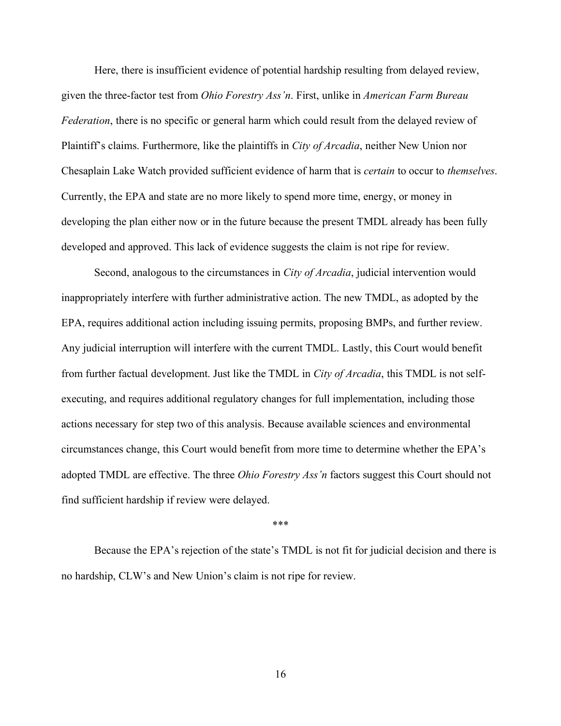Here, there is insufficient evidence of potential hardship resulting from delayed review, given the three-factor test from *Ohio Forestry Ass'n*. First, unlike in *American Farm Bureau Federation*, there is no specific or general harm which could result from the delayed review of Plaintiff's claims. Furthermore, like the plaintiffs in *City of Arcadia*, neither New Union nor Chesaplain Lake Watch provided sufficient evidence of harm that is *certain* to occur to *themselves*. Currently, the EPA and state are no more likely to spend more time, energy, or money in developing the plan either now or in the future because the present TMDL already has been fully developed and approved. This lack of evidence suggests the claim is not ripe for review.

Second, analogous to the circumstances in *City of Arcadia*, judicial intervention would inappropriately interfere with further administrative action. The new TMDL, as adopted by the EPA, requires additional action including issuing permits, proposing BMPs, and further review. Any judicial interruption will interfere with the current TMDL. Lastly, this Court would benefit from further factual development. Just like the TMDL in *City of Arcadia*, this TMDL is not selfexecuting, and requires additional regulatory changes for full implementation, including those actions necessary for step two of this analysis. Because available sciences and environmental circumstances change, this Court would benefit from more time to determine whether the EPA's adopted TMDL are effective. The three *Ohio Forestry Ass'n* factors suggest this Court should not find sufficient hardship if review were delayed.

#### \*\*\*

<span id="page-21-0"></span>Because the EPA's rejection of the state's TMDL is not fit for judicial decision and there is no hardship, CLW's and New Union's claim is not ripe for review.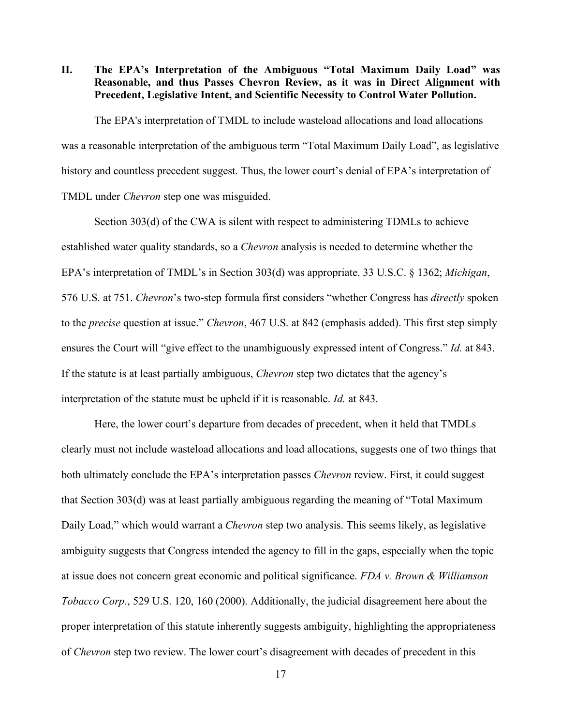**II. The EPA's Interpretation of the Ambiguous "Total Maximum Daily Load" was Reasonable, and thus Passes Chevron Review, as it was in Direct Alignment with Precedent, Legislative Intent, and Scientific Necessity to Control Water Pollution.**

The EPA's interpretation of TMDL to include wasteload allocations and load allocations was a reasonable interpretation of the ambiguous term "Total Maximum Daily Load", as legislative history and countless precedent suggest. Thus, the lower court's denial of EPA's interpretation of TMDL under *Chevron* step one was misguided.

Section 303(d) of the CWA is silent with respect to administering TDMLs to achieve established water quality standards, so a *Chevron* analysis is needed to determine whether the EPA's interpretation of TMDL's in Section 303(d) was appropriate. 33 U.S.C. § 1362; *Michigan*, 576 U.S. at 751. *Chevron*'s two-step formula first considers "whether Congress has *directly* spoken to the *precise* question at issue." *Chevron*, 467 U.S. at 842 (emphasis added). This first step simply ensures the Court will "give effect to the unambiguously expressed intent of Congress." *Id.* at 843. If the statute is at least partially ambiguous, *Chevron* step two dictates that the agency's interpretation of the statute must be upheld if it is reasonable. *Id.* at 843.

Here, the lower court's departure from decades of precedent, when it held that TMDLs clearly must not include wasteload allocations and load allocations, suggests one of two things that both ultimately conclude the EPA's interpretation passes *Chevron* review. First, it could suggest that Section 303(d) was at least partially ambiguous regarding the meaning of "Total Maximum Daily Load," which would warrant a *Chevron* step two analysis. This seems likely, as legislative ambiguity suggests that Congress intended the agency to fill in the gaps, especially when the topic at issue does not concern great economic and political significance. *FDA v. Brown & Williamson Tobacco Corp.*, 529 U.S. 120, 160 (2000). Additionally, the judicial disagreement here about the proper interpretation of this statute inherently suggests ambiguity, highlighting the appropriateness of *Chevron* step two review. The lower court's disagreement with decades of precedent in this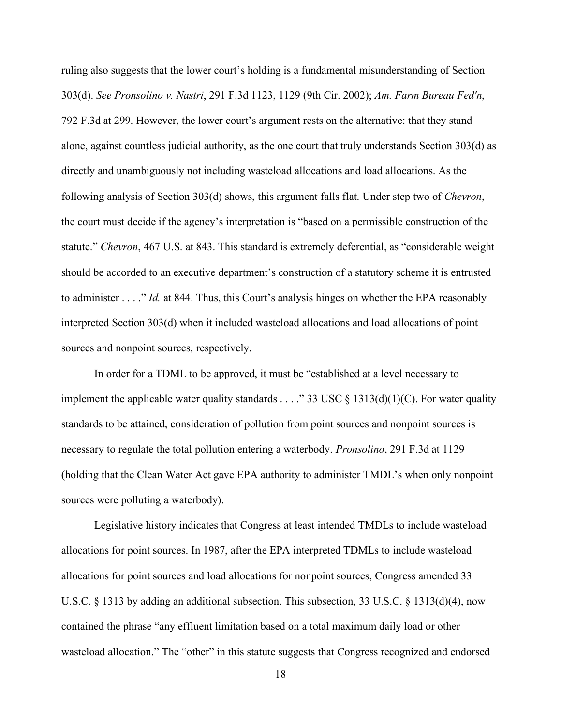ruling also suggests that the lower court's holding is a fundamental misunderstanding of Section 303(d). *See Pronsolino v. Nastri*, 291 F.3d 1123, 1129 (9th Cir. 2002); *Am. Farm Bureau Fed'n*, 792 F.3d at 299. However, the lower court's argument rests on the alternative: that they stand alone, against countless judicial authority, as the one court that truly understands Section 303(d) as directly and unambiguously not including wasteload allocations and load allocations. As the following analysis of Section 303(d) shows, this argument falls flat. Under step two of *Chevron*, the court must decide if the agency's interpretation is "based on a permissible construction of the statute." *Chevron*, 467 U.S. at 843. This standard is extremely deferential, as "considerable weight should be accorded to an executive department's construction of a statutory scheme it is entrusted to administer . . . ." *Id.* at 844. Thus, this Court's analysis hinges on whether the EPA reasonably interpreted Section 303(d) when it included wasteload allocations and load allocations of point sources and nonpoint sources, respectively.

In order for a TDML to be approved, it must be "established at a level necessary to implement the applicable water quality standards . . . ." 33 USC  $\S$  1313(d)(1)(C). For water quality standards to be attained, consideration of pollution from point sources and nonpoint sources is necessary to regulate the total pollution entering a waterbody. *Pronsolino*, 291 F.3d at 1129 (holding that the Clean Water Act gave EPA authority to administer TMDL's when only nonpoint sources were polluting a waterbody).

Legislative history indicates that Congress at least intended TMDLs to include wasteload allocations for point sources. In 1987, after the EPA interpreted TDMLs to include wasteload allocations for point sources and load allocations for nonpoint sources, Congress amended 33 U.S.C. § 1313 by adding an additional subsection. This subsection, 33 U.S.C. § 1313(d)(4), now contained the phrase "any effluent limitation based on a total maximum daily load or other wasteload allocation." The "other" in this statute suggests that Congress recognized and endorsed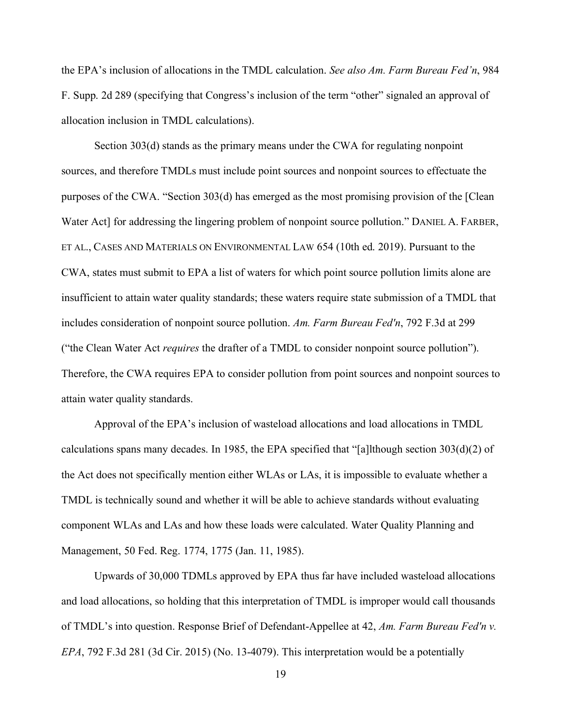the EPA's inclusion of allocations in the TMDL calculation. *See also Am. Farm Bureau Fed'n*, 984 F. Supp. 2d 289 (specifying that Congress's inclusion of the term "other" signaled an approval of allocation inclusion in TMDL calculations).

Section 303(d) stands as the primary means under the CWA for regulating nonpoint sources, and therefore TMDLs must include point sources and nonpoint sources to effectuate the purposes of the CWA. "Section 303(d) has emerged as the most promising provision of the [Clean Water Act] for addressing the lingering problem of nonpoint source pollution." DANIEL A. FARBER, ET AL., CASES AND MATERIALS ON ENVIRONMENTAL LAW 654 (10th ed. 2019). Pursuant to the CWA, states must submit to EPA a list of waters for which point source pollution limits alone are insufficient to attain water quality standards; these waters require state submission of a TMDL that includes consideration of nonpoint source pollution. *Am. Farm Bureau Fed'n*, 792 F.3d at 299 ("the Clean Water Act *requires* the drafter of a TMDL to consider nonpoint source pollution"). Therefore, the CWA requires EPA to consider pollution from point sources and nonpoint sources to attain water quality standards.

Approval of the EPA's inclusion of wasteload allocations and load allocations in TMDL calculations spans many decades. In 1985, the EPA specified that "[a]lthough section  $303(d)(2)$  of the Act does not specifically mention either WLAs or LAs, it is impossible to evaluate whether a TMDL is technically sound and whether it will be able to achieve standards without evaluating component WLAs and LAs and how these loads were calculated. Water Quality Planning and Management, 50 Fed. Reg. 1774, 1775 (Jan. 11, 1985).

Upwards of 30,000 TDMLs approved by EPA thus far have included wasteload allocations and load allocations, so holding that this interpretation of TMDL is improper would call thousands of TMDL's into question. Response Brief of Defendant-Appellee at 42, *Am. Farm Bureau Fed'n v. EPA*, 792 F.3d 281 (3d Cir. 2015) (No. 13-4079). This interpretation would be a potentially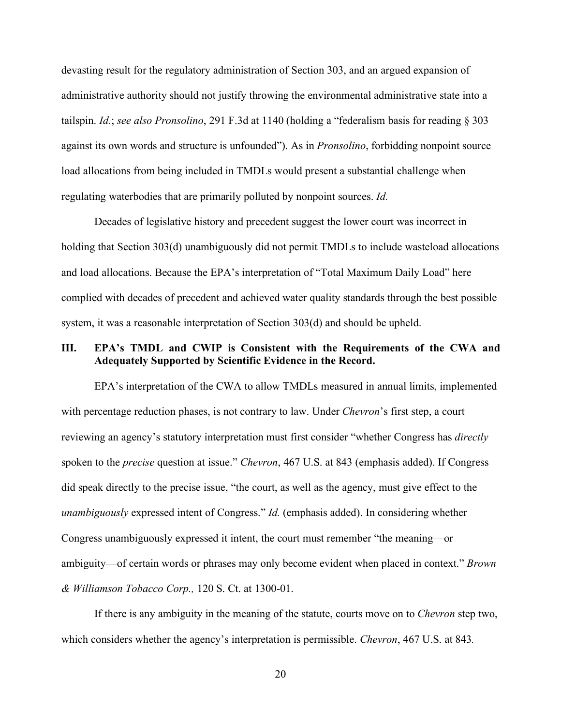devasting result for the regulatory administration of Section 303, and an argued expansion of administrative authority should not justify throwing the environmental administrative state into a tailspin. *Id.*; *see also Pronsolino*, 291 F.3d at 1140 (holding a "federalism basis for reading § 303 against its own words and structure is unfounded"). As in *Pronsolino*, forbidding nonpoint source load allocations from being included in TMDLs would present a substantial challenge when regulating waterbodies that are primarily polluted by nonpoint sources. *Id.*

Decades of legislative history and precedent suggest the lower court was incorrect in holding that Section 303(d) unambiguously did not permit TMDLs to include wasteload allocations and load allocations. Because the EPA's interpretation of "Total Maximum Daily Load" here complied with decades of precedent and achieved water quality standards through the best possible system, it was a reasonable interpretation of Section 303(d) and should be upheld.

# <span id="page-25-0"></span>**III. EPA's TMDL and CWIP is Consistent with the Requirements of the CWA and Adequately Supported by Scientific Evidence in the Record.**

EPA's interpretation of the CWA to allow TMDLs measured in annual limits, implemented with percentage reduction phases, is not contrary to law. Under *Chevron*'s first step, a court reviewing an agency's statutory interpretation must first consider "whether Congress has *directly* spoken to the *precise* question at issue." *Chevron*, 467 U.S. at 843 (emphasis added). If Congress did speak directly to the precise issue, "the court, as well as the agency, must give effect to the *unambiguously* expressed intent of Congress." *Id.* (emphasis added). In considering whether Congress unambiguously expressed it intent, the court must remember "the meaning—or ambiguity—of certain words or phrases may only become evident when placed in context." *Brown & Williamson Tobacco Corp.,* 120 S. Ct. at 1300-01.

If there is any ambiguity in the meaning of the statute, courts move on to *Chevron* step two, which considers whether the agency's interpretation is permissible. *Chevron*, 467 U.S. at 843*.*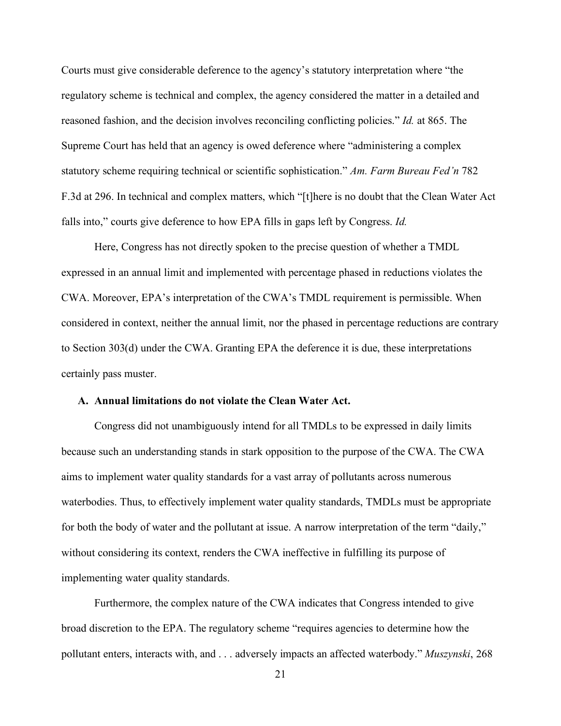Courts must give considerable deference to the agency's statutory interpretation where "the regulatory scheme is technical and complex, the agency considered the matter in a detailed and reasoned fashion, and the decision involves reconciling conflicting policies." *Id.* at 865. The Supreme Court has held that an agency is owed deference where "administering a complex statutory scheme requiring technical or scientific sophistication." *Am. Farm Bureau Fed'n* 782 F.3d at 296. In technical and complex matters, which "[t]here is no doubt that the Clean Water Act falls into," courts give deference to how EPA fills in gaps left by Congress. *Id.*

Here, Congress has not directly spoken to the precise question of whether a TMDL expressed in an annual limit and implemented with percentage phased in reductions violates the CWA. Moreover, EPA's interpretation of the CWA's TMDL requirement is permissible. When considered in context, neither the annual limit, nor the phased in percentage reductions are contrary to Section 303(d) under the CWA. Granting EPA the deference it is due, these interpretations certainly pass muster.

### <span id="page-26-0"></span>**A. Annual limitations do not violate the Clean Water Act.**

Congress did not unambiguously intend for all TMDLs to be expressed in daily limits because such an understanding stands in stark opposition to the purpose of the CWA. The CWA aims to implement water quality standards for a vast array of pollutants across numerous waterbodies. Thus, to effectively implement water quality standards, TMDLs must be appropriate for both the body of water and the pollutant at issue. A narrow interpretation of the term "daily," without considering its context, renders the CWA ineffective in fulfilling its purpose of implementing water quality standards.

Furthermore, the complex nature of the CWA indicates that Congress intended to give broad discretion to the EPA. The regulatory scheme "requires agencies to determine how the pollutant enters, interacts with, and . . . adversely impacts an affected waterbody." *Muszynski*, 268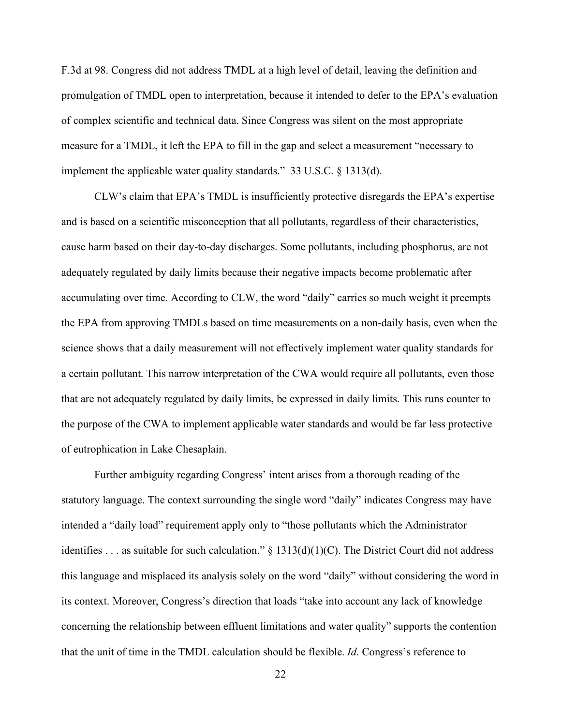F.3d at 98. Congress did not address TMDL at a high level of detail, leaving the definition and promulgation of TMDL open to interpretation, because it intended to defer to the EPA's evaluation of complex scientific and technical data. Since Congress was silent on the most appropriate measure for a TMDL, it left the EPA to fill in the gap and select a measurement "necessary to implement the applicable water quality standards." 33 U.S.C. § 1313(d).

CLW's claim that EPA's TMDL is insufficiently protective disregards the EPA's expertise and is based on a scientific misconception that all pollutants, regardless of their characteristics, cause harm based on their day-to-day discharges. Some pollutants, including phosphorus, are not adequately regulated by daily limits because their negative impacts become problematic after accumulating over time. According to CLW, the word "daily" carries so much weight it preempts the EPA from approving TMDLs based on time measurements on a non-daily basis, even when the science shows that a daily measurement will not effectively implement water quality standards for a certain pollutant. This narrow interpretation of the CWA would require all pollutants, even those that are not adequately regulated by daily limits, be expressed in daily limits. This runs counter to the purpose of the CWA to implement applicable water standards and would be far less protective of eutrophication in Lake Chesaplain.

Further ambiguity regarding Congress' intent arises from a thorough reading of the statutory language. The context surrounding the single word "daily" indicates Congress may have intended a "daily load" requirement apply only to "those pollutants which the Administrator identifies . . . as suitable for such calculation."  $\S$  1313(d)(1)(C). The District Court did not address this language and misplaced its analysis solely on the word "daily" without considering the word in its context. Moreover, Congress's direction that loads "take into account any lack of knowledge concerning the relationship between effluent limitations and water quality" supports the contention that the unit of time in the TMDL calculation should be flexible. *Id.* Congress's reference to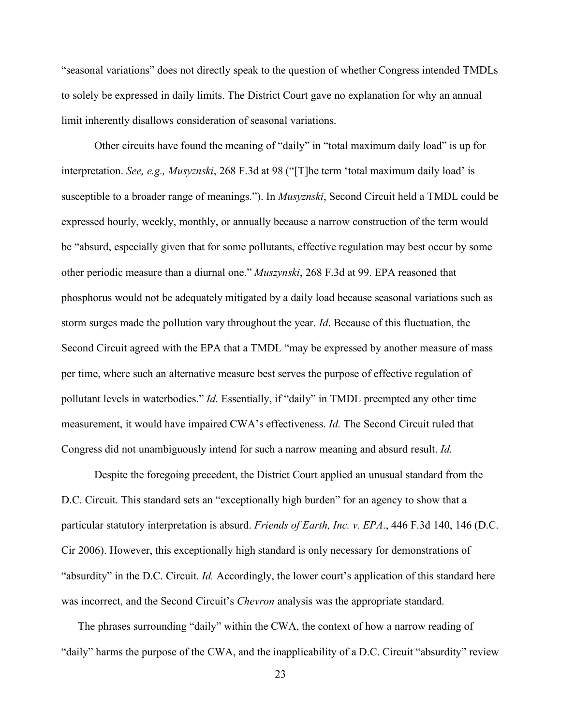"seasonal variations" does not directly speak to the question of whether Congress intended TMDLs to solely be expressed in daily limits. The District Court gave no explanation for why an annual limit inherently disallows consideration of seasonal variations.

Other circuits have found the meaning of "daily" in "total maximum daily load" is up for interpretation. *See, e.g., Musyznski*, 268 F.3d at 98 ("[T]he term 'total maximum daily load' is susceptible to a broader range of meanings."). In *Musyznski*, Second Circuit held a TMDL could be expressed hourly, weekly, monthly, or annually because a narrow construction of the term would be "absurd, especially given that for some pollutants, effective regulation may best occur by some other periodic measure than a diurnal one." *Muszynski*, 268 F.3d at 99. EPA reasoned that phosphorus would not be adequately mitigated by a daily load because seasonal variations such as storm surges made the pollution vary throughout the year. *Id*. Because of this fluctuation, the Second Circuit agreed with the EPA that a TMDL "may be expressed by another measure of mass per time, where such an alternative measure best serves the purpose of effective regulation of pollutant levels in waterbodies." *Id.* Essentially, if "daily" in TMDL preempted any other time measurement, it would have impaired CWA's effectiveness. *Id.* The Second Circuit ruled that Congress did not unambiguously intend for such a narrow meaning and absurd result. *Id.*

Despite the foregoing precedent, the District Court applied an unusual standard from the D.C. Circuit. This standard sets an "exceptionally high burden" for an agency to show that a particular statutory interpretation is absurd. *Friends of Earth, Inc. v. EPA*., 446 F.3d 140, 146 (D.C. Cir 2006). However, this exceptionally high standard is only necessary for demonstrations of "absurdity" in the D.C. Circuit. *Id.* Accordingly, the lower court's application of this standard here was incorrect, and the Second Circuit's *Chevron* analysis was the appropriate standard.

The phrases surrounding "daily" within the CWA, the context of how a narrow reading of "daily" harms the purpose of the CWA, and the inapplicability of a D.C. Circuit "absurdity" review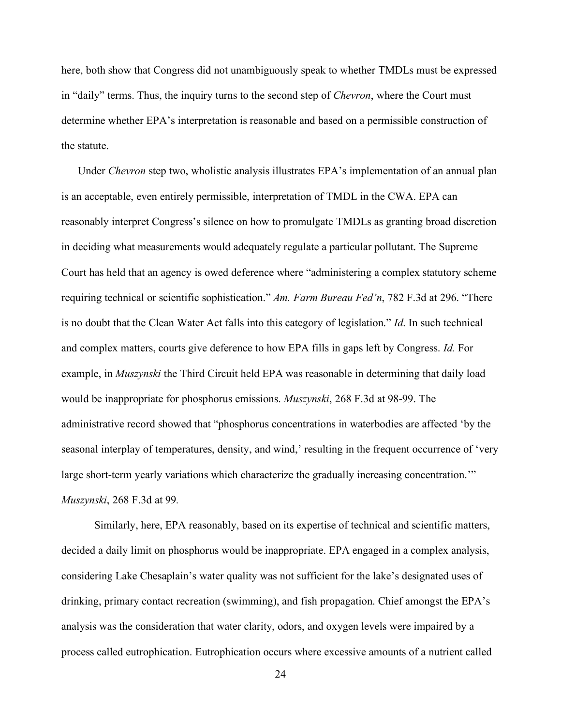here, both show that Congress did not unambiguously speak to whether TMDLs must be expressed in "daily" terms. Thus, the inquiry turns to the second step of *Chevron*, where the Court must determine whether EPA's interpretation is reasonable and based on a permissible construction of the statute.

Under *Chevron* step two, wholistic analysis illustrates EPA's implementation of an annual plan is an acceptable, even entirely permissible, interpretation of TMDL in the CWA. EPA can reasonably interpret Congress's silence on how to promulgate TMDLs as granting broad discretion in deciding what measurements would adequately regulate a particular pollutant. The Supreme Court has held that an agency is owed deference where "administering a complex statutory scheme requiring technical or scientific sophistication." *Am. Farm Bureau Fed'n*, 782 F.3d at 296. "There is no doubt that the Clean Water Act falls into this category of legislation." *Id*. In such technical and complex matters, courts give deference to how EPA fills in gaps left by Congress. *Id.* For example, in *Muszynski* the Third Circuit held EPA was reasonable in determining that daily load would be inappropriate for phosphorus emissions. *Muszynski*, 268 F.3d at 98-99. The administrative record showed that "phosphorus concentrations in waterbodies are affected 'by the seasonal interplay of temperatures, density, and wind,' resulting in the frequent occurrence of 'very large short-term yearly variations which characterize the gradually increasing concentration." *Muszynski*, 268 F.3d at 99*.*

Similarly, here, EPA reasonably, based on its expertise of technical and scientific matters, decided a daily limit on phosphorus would be inappropriate. EPA engaged in a complex analysis, considering Lake Chesaplain's water quality was not sufficient for the lake's designated uses of drinking, primary contact recreation (swimming), and fish propagation. Chief amongst the EPA's analysis was the consideration that water clarity, odors, and oxygen levels were impaired by a process called eutrophication. Eutrophication occurs where excessive amounts of a nutrient called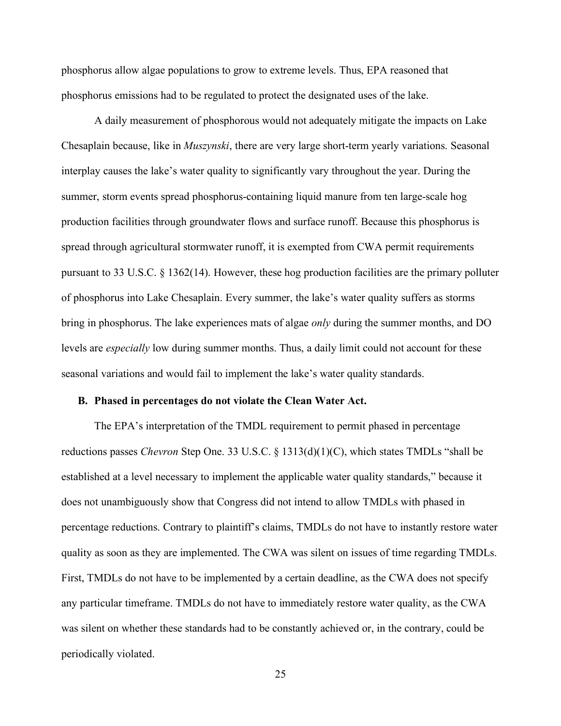phosphorus allow algae populations to grow to extreme levels. Thus, EPA reasoned that phosphorus emissions had to be regulated to protect the designated uses of the lake.

A daily measurement of phosphorous would not adequately mitigate the impacts on Lake Chesaplain because, like in *Muszynski*, there are very large short-term yearly variations. Seasonal interplay causes the lake's water quality to significantly vary throughout the year. During the summer, storm events spread phosphorus-containing liquid manure from ten large-scale hog production facilities through groundwater flows and surface runoff. Because this phosphorus is spread through agricultural stormwater runoff, it is exempted from CWA permit requirements pursuant to 33 U.S.C. § 1362(14). However, these hog production facilities are the primary polluter of phosphorus into Lake Chesaplain. Every summer, the lake's water quality suffers as storms bring in phosphorus. The lake experiences mats of algae *only* during the summer months, and DO levels are *especially* low during summer months. Thus, a daily limit could not account for these seasonal variations and would fail to implement the lake's water quality standards.

### <span id="page-30-0"></span>**B. Phased in percentages do not violate the Clean Water Act.**

The EPA's interpretation of the TMDL requirement to permit phased in percentage reductions passes *Chevron* Step One. 33 U.S.C. § 1313(d)(1)(C), which states TMDLs "shall be established at a level necessary to implement the applicable water quality standards," because it does not unambiguously show that Congress did not intend to allow TMDLs with phased in percentage reductions. Contrary to plaintiff's claims, TMDLs do not have to instantly restore water quality as soon as they are implemented. The CWA was silent on issues of time regarding TMDLs. First, TMDLs do not have to be implemented by a certain deadline, as the CWA does not specify any particular timeframe. TMDLs do not have to immediately restore water quality, as the CWA was silent on whether these standards had to be constantly achieved or, in the contrary, could be periodically violated.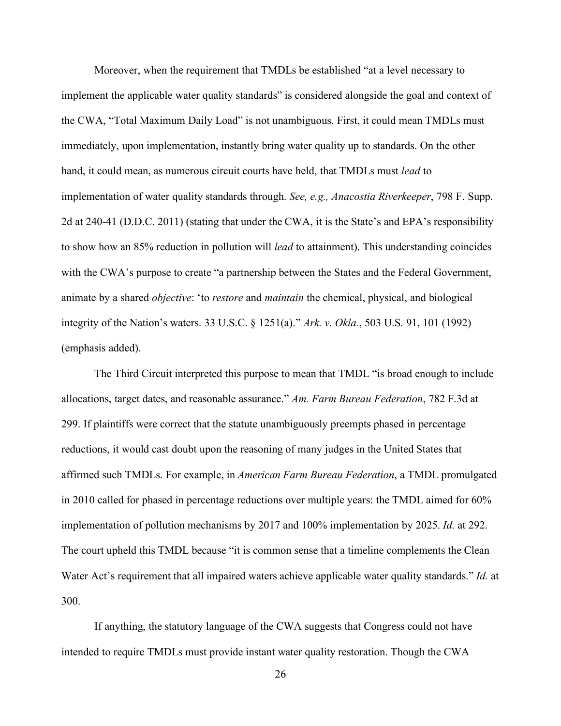Moreover, when the requirement that TMDLs be established "at a level necessary to implement the applicable water quality standards" is considered alongside the goal and context of the CWA, "Total Maximum Daily Load" is not unambiguous. First, it could mean TMDLs must immediately, upon implementation, instantly bring water quality up to standards. On the other hand, it could mean, as numerous circuit courts have held, that TMDLs must *lead* to implementation of water quality standards through. *See, e.g., Anacostia Riverkeeper*, 798 F. Supp. 2d at 240-41 (D.D.C. 2011) (stating that under the CWA, it is the State's and EPA's responsibility to show how an 85% reduction in pollution will *lead* to attainment). This understanding coincides with the CWA's purpose to create "a partnership between the States and the Federal Government, animate by a shared *objective*: 'to *restore* and *maintain* the chemical, physical, and biological integrity of the Nation's waters. 33 U.S.C. § 1251(a)." *Ark. v. Okla.*, 503 U.S. 91, 101 (1992) (emphasis added).

The Third Circuit interpreted this purpose to mean that TMDL "is broad enough to include allocations, target dates, and reasonable assurance." *Am. Farm Bureau Federation*, 782 F.3d at 299. If plaintiffs were correct that the statute unambiguously preempts phased in percentage reductions, it would cast doubt upon the reasoning of many judges in the United States that affirmed such TMDLs. For example, in *American Farm Bureau Federation*, a TMDL promulgated in 2010 called for phased in percentage reductions over multiple years: the TMDL aimed for 60% implementation of pollution mechanisms by 2017 and 100% implementation by 2025. *Id.* at 292. The court upheld this TMDL because "it is common sense that a timeline complements the Clean Water Act's requirement that all impaired waters achieve applicable water quality standards." *Id.* at 300.

If anything, the statutory language of the CWA suggests that Congress could not have intended to require TMDLs must provide instant water quality restoration. Though the CWA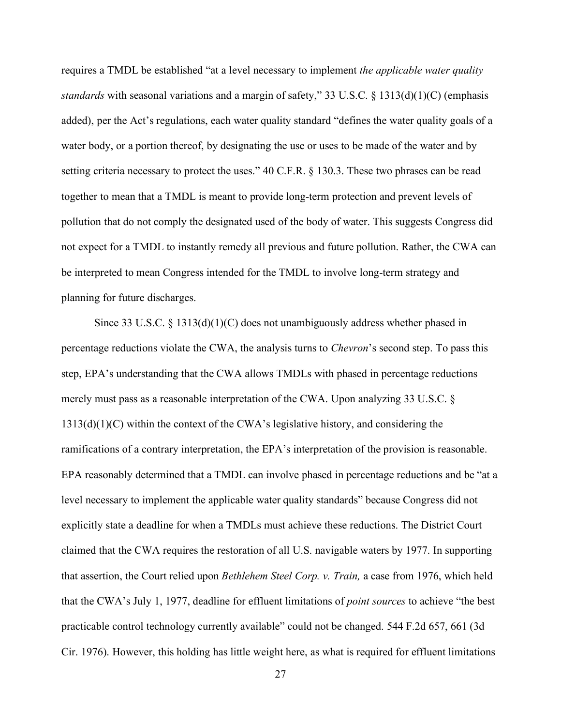requires a TMDL be established "at a level necessary to implement *the applicable water quality standards* with seasonal variations and a margin of safety," 33 U.S.C. § 1313(d)(1)(C) (emphasis added), per the Act's regulations, each water quality standard "defines the water quality goals of a water body, or a portion thereof, by designating the use or uses to be made of the water and by setting criteria necessary to protect the uses." 40 C.F.R. § 130.3. These two phrases can be read together to mean that a TMDL is meant to provide long-term protection and prevent levels of pollution that do not comply the designated used of the body of water. This suggests Congress did not expect for a TMDL to instantly remedy all previous and future pollution. Rather, the CWA can be interpreted to mean Congress intended for the TMDL to involve long-term strategy and planning for future discharges.

Since 33 U.S.C.  $\S$  1313(d)(1)(C) does not unambiguously address whether phased in percentage reductions violate the CWA, the analysis turns to *Chevron*'s second step. To pass this step, EPA's understanding that the CWA allows TMDLs with phased in percentage reductions merely must pass as a reasonable interpretation of the CWA. Upon analyzing 33 U.S.C. §  $1313(d)(1)(C)$  within the context of the CWA's legislative history, and considering the ramifications of a contrary interpretation, the EPA's interpretation of the provision is reasonable. EPA reasonably determined that a TMDL can involve phased in percentage reductions and be "at a level necessary to implement the applicable water quality standards" because Congress did not explicitly state a deadline for when a TMDLs must achieve these reductions. The District Court claimed that the CWA requires the restoration of all U.S. navigable waters by 1977. In supporting that assertion, the Court relied upon *Bethlehem Steel Corp. v. Train,* a case from 1976, which held that the CWA's July 1, 1977, deadline for effluent limitations of *point sources* to achieve "the best practicable control technology currently available" could not be changed. 544 F.2d 657, 661 (3d Cir. 1976). However, this holding has little weight here, as what is required for effluent limitations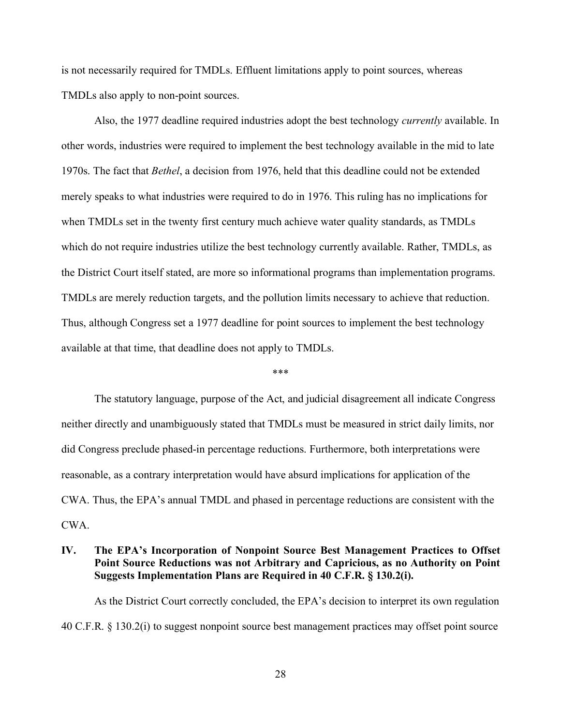is not necessarily required for TMDLs. Effluent limitations apply to point sources, whereas TMDLs also apply to non-point sources.

Also, the 1977 deadline required industries adopt the best technology *currently* available. In other words, industries were required to implement the best technology available in the mid to late 1970s. The fact that *Bethel*, a decision from 1976, held that this deadline could not be extended merely speaks to what industries were required to do in 1976. This ruling has no implications for when TMDLs set in the twenty first century much achieve water quality standards, as TMDLs which do not require industries utilize the best technology currently available. Rather, TMDLs, as the District Court itself stated, are more so informational programs than implementation programs. TMDLs are merely reduction targets, and the pollution limits necessary to achieve that reduction. Thus, although Congress set a 1977 deadline for point sources to implement the best technology available at that time, that deadline does not apply to TMDLs.

#### \*\*\*

The statutory language, purpose of the Act, and judicial disagreement all indicate Congress neither directly and unambiguously stated that TMDLs must be measured in strict daily limits, nor did Congress preclude phased-in percentage reductions. Furthermore, both interpretations were reasonable, as a contrary interpretation would have absurd implications for application of the CWA. Thus, the EPA's annual TMDL and phased in percentage reductions are consistent with the CWA.

# <span id="page-33-0"></span>**IV. The EPA's Incorporation of Nonpoint Source Best Management Practices to Offset Point Source Reductions was not Arbitrary and Capricious, as no Authority on Point Suggests Implementation Plans are Required in 40 C.F.R. § 130.2(i).**

As the District Court correctly concluded, the EPA's decision to interpret its own regulation 40 C.F.R. § 130.2(i) to suggest nonpoint source best management practices may offset point source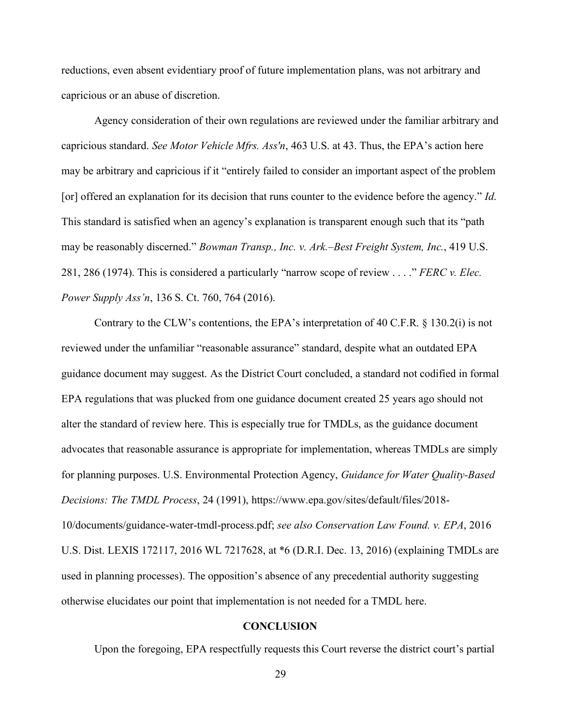reductions, even absent evidentiary proof of future implementation plans, was not arbitrary and capricious or an abuse of discretion.

Agency consideration of their own regulations are reviewed under the familiar arbitrary and capricious standard. *See Motor Vehicle Mfrs. Ass'n*, 463 U.S. at 43. Thus, the EPA's action here may be arbitrary and capricious if it "entirely failed to consider an important aspect of the problem [or] offered an explanation for its decision that runs counter to the evidence before the agency." *Id*. This standard is satisfied when an agency's explanation is transparent enough such that its "path may be reasonably discerned." *Bowman Transp., Inc. v. Ark.–Best Freight System, Inc.*, 419 U.S. 281, 286 (1974). This is considered a particularly "narrow scope of review . . . ." *FERC v. Elec. Power Supply Ass'n*, 136 S. Ct. 760, 764 (2016).

Contrary to the CLW's contentions, the EPA's interpretation of 40 C.F.R. § 130.2(i) is not reviewed under the unfamiliar "reasonable assurance" standard, despite what an outdated EPA guidance document may suggest. As the District Court concluded, a standard not codified in formal EPA regulations that was plucked from one guidance document created 25 years ago should not alter the standard of review here. This is especially true for TMDLs, as the guidance document advocates that reasonable assurance is appropriate for implementation, whereas TMDLs are simply for planning purposes. U.S. Environmental Protection Agency, *Guidance for Water Quality-Based Decisions: The TMDL Process*, 24 (1991), https://www.epa.gov/sites/default/files/2018- 10/documents/guidance-water-tmdl-process.pdf; *see also Conservation Law Found. v. EPA*, 2016 U.S. Dist. LEXIS 172117, 2016 WL 7217628, at \*6 (D.R.I. Dec. 13, 2016) (explaining TMDLs are used in planning processes). The opposition's absence of any precedential authority suggesting otherwise elucidates our point that implementation is not needed for a TMDL here.

### **CONCLUSION**

<span id="page-34-0"></span>Upon the foregoing, EPA respectfully requests this Court reverse the district court's partial